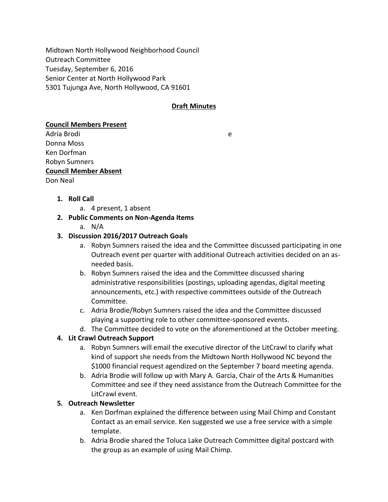Midtown North Hollywood Neighborhood Council Outreach Committee Tuesday, September 6, 2016 Senior Center at North Hollywood Park 5301 Tujunga Ave, North Hollywood, CA 91601

## **Draft Minutes**

#### **Council Members Present**

Adria Brodi e Donna Moss Ken Dorfman Robyn Sumners **Council Member Absent** Don Neal

**1. Roll Call** 

a. 4 present, 1 absent

### **2. Public Comments on Non-Agenda Items**

a. N/A

### **3. Discussion 2016/2017 Outreach Goals**

- a. Robyn Sumners raised the idea and the Committee discussed participating in one Outreach event per quarter with additional Outreach activities decided on an asneeded basis.
- b. Robyn Sumners raised the idea and the Committee discussed sharing administrative responsibilities (postings, uploading agendas, digital meeting announcements, etc.) with respective committees outside of the Outreach Committee.
- c. Adria Brodie/Robyn Sumners raised the idea and the Committee discussed playing a supporting role to other committee-sponsored events.
- d. The Committee decided to vote on the aforementioned at the October meeting.

## **4. Lit Crawl Outreach Support**

- a. Robyn Sumners will email the executive director of the LitCrawl to clarify what kind of support she needs from the Midtown North Hollywood NC beyond the \$1000 financial request agendized on the September 7 board meeting agenda.
- b. Adria Brodie will follow up with Mary A. Garcia, Chair of the Arts & Humanities Committee and see if they need assistance from the Outreach Committee for the LitCrawl event.

## **5. Outreach Newsletter**

- a. Ken Dorfman explained the difference between using Mail Chimp and Constant Contact as an email service. Ken suggested we use a free service with a simple template.
- b. Adria Brodie shared the Toluca Lake Outreach Committee digital postcard with the group as an example of using Mail Chimp.